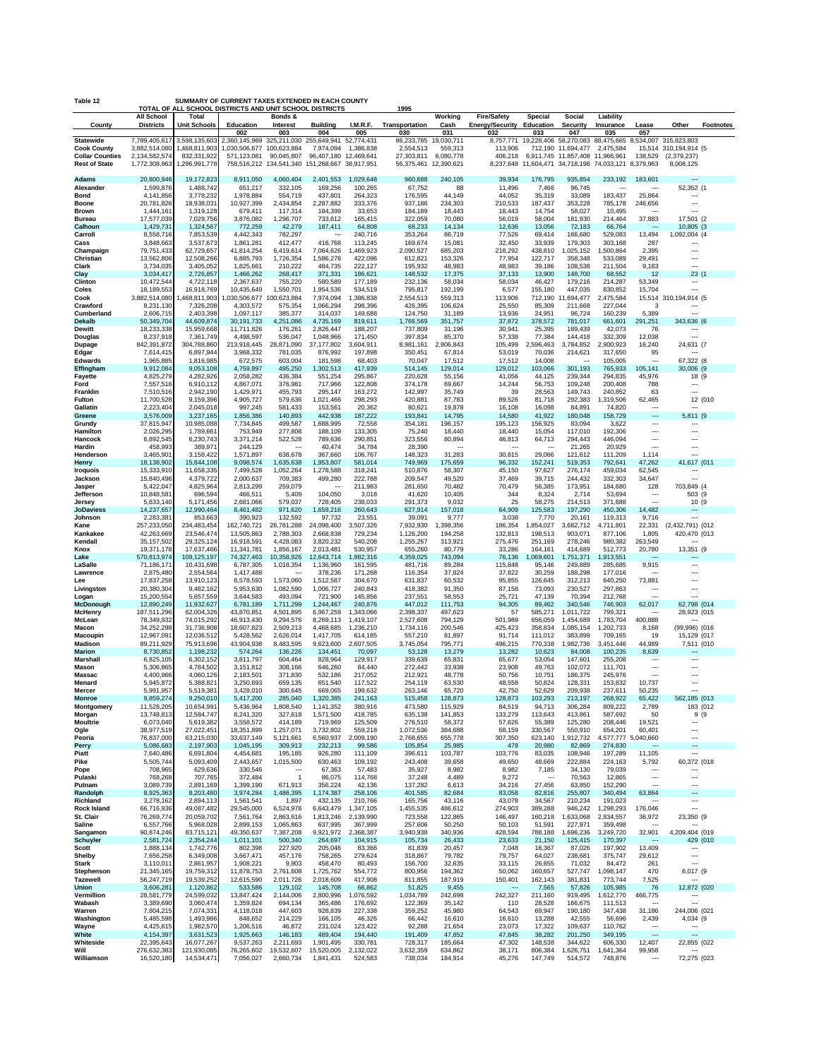| SUMMARY OF CURRENT TAXES EXTENDED IN EACH COUNTY<br>Table 12<br>TOTAL OF ALL SCHOOL DISTRICTS AND UNIT SCHOOL DISTRICTS<br>1995 |                                |                                |                                                        |                        |                                     |                         |                         |                       |                               |                       |                                            |                        |                                     |                                                |                  |
|---------------------------------------------------------------------------------------------------------------------------------|--------------------------------|--------------------------------|--------------------------------------------------------|------------------------|-------------------------------------|-------------------------|-------------------------|-----------------------|-------------------------------|-----------------------|--------------------------------------------|------------------------|-------------------------------------|------------------------------------------------|------------------|
|                                                                                                                                 | <b>All School</b>              | Total                          |                                                        | Bonds &                |                                     | I.M.R.F.                |                         | Working               | <b>Fire/Safety</b>            | Special               | Social                                     | Liability              |                                     |                                                |                  |
| County                                                                                                                          | <b>Districts</b>               | <b>Unit Schools</b>            | Education<br>002                                       | Interest<br>003        | <b>Building</b><br>004              | 005                     | Transportation<br>030   | Cash<br>031           | <b>Energy/Security</b><br>032 | Education<br>033      | <b>Security</b><br>047                     | Insurance<br>035       | Lease<br>057                        | Other                                          | <b>Footnotes</b> |
| <b>Statewide</b><br><b>Cook County</b>                                                                                          | 7,789,405,617<br>3,882,514,080 | 3,598,135,603<br>1,468,811,903 | 2,360,145,969 325,211,030<br>1,030,506,677 100,623,884 |                        | 255,649,941<br>7,974,094            | 52,774,431<br>1,386,838 | 86,233,785<br>2,554,513 | 19,030,711<br>559,313 | 8.757.771<br>113,906          | 19.228.406<br>712,190 | 58.270.083 88.475.665<br>11,694,477        | 2,475,584              |                                     | 8,534,007 315,823,803<br>15,514 310,194,914 (5 |                  |
| <b>Collar Counties</b>                                                                                                          | 2,134,582,574                  | 832,331,922                    | 571,123,081                                            | 90,045,807             | 96,407,180                          | 12,469,641              | 27,303,811              | 6,080,778             | 406,218                       |                       | 6,911,745 11,857,408 11,966,961            |                        | 138,529                             | (2, 379, 237)                                  |                  |
| <b>Rest of State</b>                                                                                                            | 1,772,308,963                  | 1,296,991,778                  | 758,516,212 134,541,340                                |                        | 151,268,667 38,917,951              |                         | 56,375,461              | 12,390,621            | 8,237,648                     |                       | 11,604,471 34,718,198 74,033,121 8,379,963 |                        |                                     | 8,008,125                                      |                  |
| <b>Adams</b><br>Alexander                                                                                                       | 20,800,946<br>1,599,876        | 19,172,823<br>1,488,742        | 8,911,050<br>651,217                                   | 4,060,404<br>332,105   | 2,401,553<br>169,256                | 1,029,648<br>100,265    | 960,688<br>67,752       | 240,105<br>88         | 39,934<br>11,496              | 176,795<br>7,466      | 935,854<br>96,745                          | 233,192<br>---         | 183,601                             | ---<br>52,352 (1                               |                  |
| Bond                                                                                                                            | 4,141,856                      | 3,778,232                      | 1,978,884                                              | 554,719                | 437,801                             | 264,323                 | 176,595                 | 44,149                | 44,052                        | 35,319                | 33,089                                     | 183,437                | 25,864                              | ÷                                              |                  |
| <b>Boone</b><br><b>Brown</b>                                                                                                    | 20,781,826<br>1,444,161        | 18,938,031<br>1,319,128        | 10,927,399<br>679,411                                  | 2,434,854<br>117,314   | 2,287,882<br>184,399                | 333,376<br>33,653       | 937,186<br>184,189      | 234,303<br>18,443     | 210,533<br>18,443             | 187,437<br>14,754     | 353,228<br>58,027                          | 785,178<br>10,495      | 246,656<br>$\overline{\phantom{a}}$ | Ξ.,                                            |                  |
| <b>Bureau</b><br>Calhoun                                                                                                        | 17,577,039<br>1,429,731        | 7,029,756<br>1,324,567         | 3,876,082<br>772,259                                   | 1,296,707<br>42,279    | 733,612<br>187,411                  | 165,415<br>64,808       | 322,059<br>68,233       | 70,080<br>14,134      | 56,019<br>12,636              | 58,004<br>13,056      | 181,930<br>72,183                          | 214,464<br>66,764      | 37,883                              | 17,501 (2<br>10,805 (3                         |                  |
| Carroll                                                                                                                         | 8,558,716                      | 7,853,539                      | 4,442,343                                              | 782,297                |                                     | 240,716                 | 353,264                 | 86,719                | 77,526                        | 69,414                | 166,680                                    | 529,083                | 13,494                              | 1,092,004 (4                                   |                  |
| Cass<br>Champaign                                                                                                               | 3,848,663<br>79,751,433        | 3.537.673<br>62,729,657        | 1,861,281<br>41,814,254                                | 412,477<br>6,419,614   | 416,768<br>7,064,626                | 113,245<br>1,469,923    | 169,674<br>2,090,527    | 15,081<br>685,203     | 32,450<br>218,292             | 33,939<br>438,810     | 179,303<br>1,025,152                       | 303,168<br>1,500,864   | 287<br>2,395                        | ---                                            |                  |
| Christian                                                                                                                       | 13,562,806                     | 12,508,266                     | 6,885,793                                              | 1,726,354              | 1,586,276                           | 422,096                 | 612,821                 | 153,326               | 77,954                        | 122,717               | 358,348                                    | 533,089                | 29,491                              |                                                |                  |
| Clark<br>Clay                                                                                                                   | 3,734,035<br>3,034,417         | 3,405,052<br>2,726,857         | 1,825,661<br>1,466,262                                 | 210,222<br>268,417     | 484,735<br>371,331                  | 222,127<br>186,621      | 195,932<br>148,532      | 48,983<br>17,375      | 48,983<br>37,133              | 39,186<br>13,900      | 108,538<br>148,700                         | 211,504<br>68,552      | 9,183<br>12                         | ---<br>23(1)                                   |                  |
| Clinton                                                                                                                         | 10,472,544                     | 4,722,118                      | 2,367,637                                              | 755,220                | 580,589                             | 177,189                 | 232,136                 | 58,034                | 58,034                        | 46,427                | 179,216                                    | 214,287                | 53,349                              | ---<br>---                                     |                  |
| Coles<br>Cook                                                                                                                   | 18,189,553<br>3,882,514,080    | 16,918,769<br>1,468,811,903    | 10,435,649<br>030,506,677 100,623,884                  | 1,550,701              | 1,954,536<br>7,974,094              | 534,519<br>,386,838     | 795,817<br>2,554,513    | 192,199<br>559,313    | 6,577<br>113,906              | 155,180<br>712,190    | 447,035<br>,694,477<br>-11                 | 830,852<br>2,475,584   | 15,704<br>15,514                    | 310,194,914 (5                                 |                  |
| Crawford<br>Cumberland                                                                                                          | 8,231,130<br>2,606,715         | 7,326,208<br>2,403,398         | 4,303,572<br>1,097,117                                 | 575,354<br>385,377     | 1,066,294<br>314,037                | 298,396<br>149,688      | 426,395<br>124,750      | 106,624<br>31,189     | 25,550<br>13,936              | 85,309<br>24,951      | 211,668<br>96,724                          | 227,044<br>160,239     | 3<br>5,389                          | $\overline{\phantom{a}}$                       |                  |
| <b>Dekalb</b>                                                                                                                   | 50,349,704                     | 44,609,874                     | 30,191,733                                             | 4,251,086              | 4,735,169                           | 819,611                 | 1,766,569               | 351,757               | 37,872                        | 378,572               | 781,017                                    | 661,601                | 291,251                             | 343,636 (6                                     |                  |
| <b>Dewitt</b><br><b>Douglas</b>                                                                                                 | 18,233,338<br>8,237,918        | 15,959,668<br>7,361,749        | 11,711,826<br>4,498,597                                | 176,261<br>536,047     | 2,826,447<br>1,048,966              | 188,207<br>171,450      | 737,809<br>397,834      | 31,196<br>85,370      | 30,941<br>57,338              | 25,395<br>77,384      | 189,439<br>144,418                         | 42,073<br>332,309      | 76<br>12,038                        | ---                                            |                  |
| Dupage                                                                                                                          | 842,391,872                    | 304,788,860                    | 213,918,445                                            | 28,871,090             | 37,177,802                          | 3,604,911               | 8,981,161               | 2,806,843             | 105,499                       | ,596,463              | 3,784,852                                  | ,900,923               | 16,240                              | 24,631 (7                                      |                  |
| Edgar<br><b>Edwards</b>                                                                                                         | 7,614,415<br>1,965,885         | 6,897,944<br>1,816,985         | 3,968,332<br>672,575                                   | 781,035<br>603.004     | 876,992<br>181,598                  | 197,898<br>68,403       | 350,451<br>70,047       | 67,814<br>17,512      | 53,019<br>17,512              | 70,036<br>14,008      | 214,621                                    | 317,650<br>105,005     | 95                                  | 67,322 (8                                      |                  |
| Effingham<br><b>Fayette</b>                                                                                                     | 9,912,084<br>4,825,279         | 9,053,108<br>4,282,926         | 4,759,897<br>2,058,282                                 | 495,250<br>436,384     | 1,302,513<br>551,254                | 417,939<br>295,867      | 514,145<br>220,628      | 129,014<br>55,156     | 129,012<br>41,056             | 103,066<br>44,125     | 301,193<br>239,344                         | 765,933<br>294,835     | 105,141<br>45,976                   | 30,006 (9<br>18 (9                             |                  |
| Ford                                                                                                                            | 7,557,516                      | 6,910,112                      | 4,867,071                                              | 376,981                | 717,966                             | 122,808                 | 374,178                 | 69,667                | 14,244                        | 56,753                | 109,248                                    | 200,408                | 788                                 | ---                                            |                  |
| Franklin<br>Fulton                                                                                                              | 7,510,516<br>11,700,528        | 2,942,190<br>9,159,396         | 1,429,971<br>4,905,727                                 | 455,793<br>579,636     | 295,147<br>1,021,466                | 163,272<br>298,293      | 142,997<br>420,881      | 35,749<br>87,783      | 39<br>89,526                  | 28,563<br>81,718      | 149,743<br>292,383                         | 240,852<br>1,319,506   | 63<br>62,465                        |                                                | 12 (010          |
| Gallatin                                                                                                                        | 2,223,404                      | 2,045,018                      | 997,245                                                | 581,433                | 153,561                             | 20,362                  | 80,621                  | 19,878                | 16,108                        | 16,098                | 84,891                                     | 74,820                 |                                     |                                                |                  |
| Greene<br>Grundy                                                                                                                | 3,576,009<br>37,815,947        | 3,237,165<br>10,985,088        | 1,856,386<br>7,734,845                                 | 140,893<br>499,587     | 442,938<br>1,688,995                | 187,222<br>72,558       | 193,841<br>354,181      | 14,795<br>196,157     | 14,580<br>195,123             | 41,922<br>156,925     | 180,048<br>83,094                          | 158,729<br>3,622       | ---<br>---                          | 5,811 (9                                       |                  |
| Hamilton<br>Hancock                                                                                                             | 2,026,295<br>6,892,545         | 1,789,661<br>6,230,743         | 753,949<br>3,371,214                                   | 277,808<br>522,528     | 188,109<br>789,636                  | 133,305<br>290,851      | 75,240<br>323,556       | 18,440<br>80,894      | 18,440<br>46,813              | 15,054<br>64,713      | 117,010<br>294,443                         | 192,306<br>446,094     | Ξ.<br>                              | <br>---                                        |                  |
| Hardin                                                                                                                          | 458,993                        | 389,971                        | 244,129                                                |                        | 40,474                              | 34,784                  | 28,390                  |                       |                               |                       | 21,265                                     | 20,929                 | $\sim$                              | ---                                            |                  |
| Henderson<br>Henry                                                                                                              | 3,465,901<br>18,138,902        | 3,158,422<br>15,844,108        | 1,571,897<br>9,098,574                                 | 638,678<br>1,635,638   | 367,660<br>1,953,807                | 106,767<br>581,014      | 148,323<br>749,969      | 31,283<br>175,659     | 30,815<br>96,332              | 29,066<br>152,241     | 121,612<br>519,353                         | 111,209<br>792,641     | 1,114<br>47,262                     | <br>41,617 (011                                |                  |
| <b>Iroquois</b>                                                                                                                 | 15,333,910                     | 11,658,335                     | 7,499,528                                              | 1,052,264              | 1,278,588                           | 318,241                 | 510,876                 | 58,307                | 45,150                        | 97,627                | 276,174                                    | 459,034                | 62,545                              |                                                |                  |
| Jackson<br>Jasper                                                                                                               | 15,840,496<br>5,422,047        | 4,379,722<br>4,825,964         | 2,000,637<br>2,813,299                                 | 709,383<br>259,079     | 499,280<br>$\overline{\phantom{a}}$ | 222,788<br>211,983      | 209,547<br>281,650      | 49,520<br>70,482      | 37,469<br>70,479              | 39,715<br>56,385      | 244,432<br>173,951                         | 332,303<br>184,680     | 34,647<br>128                       | ---<br>703,849 (4                              |                  |
| Jefferson                                                                                                                       | 10,848,581<br>5,633,140        | 696,594<br>5,171,456           | 466,511<br>2,681,066                                   | 5,409<br>579,037       | 104,050<br>728,405                  | 3,018<br>238,033        | 41,620<br>291,373       | 10,405<br>9,032       | 344<br>25                     | 8,324<br>58,275       | 2,714<br>214,513                           | 53,694<br>371,688      | $\overline{\phantom{a}}$<br>$\sim$  | 503 (9<br>10(9)                                |                  |
| Jersey<br><b>JoDaviess</b>                                                                                                      | 14,237,657                     | 12,990,464                     | 8,461,482                                              | 971,620                | 1,659,216                           | 260,643                 | 627,914                 | 157,018               | 64,909                        | 125,583               | 197,290                                    | 450,306                | 14,482                              |                                                |                  |
| Johnson<br>Kane                                                                                                                 | 2,283,381<br>257,233,050       | 853,663<br>234,483,454         | 390,923<br>162,740,721                                 | 132,592<br>26,781,288  | 97,732<br>24,098,400                | 23,551<br>3,507,326     | 39,091<br>7,932,930     | 9,777<br>1,398,356    | 3,038<br>186,354              | 7,770<br>,854,027     | 20,161<br>3,682,712                        | 119,313<br>4,711,801   | 9,716<br>22,331                     | ⊷<br>(2,432,791) (012                          |                  |
| Kankakee                                                                                                                        | 42,263,669                     | 23,546,474                     | 13,505,863                                             | 2,788,303              | 2,668,838                           | 729,234                 | 1,126,200               | 194,258               | 132,813                       | 198,513               | 903,071                                    | 877,106                | 1,805                               | 420,470 (013                                   |                  |
| Kendall<br>Knox                                                                                                                 | 35, 157, 502<br>19,371,178     | 29,325,124<br>17,637,466       | 16,918,591<br>11,341,781                               | 4,428,083<br>1,856,167 | 3,820,232<br>2,013,481              | 540,208<br>530,957      | 1,255,267<br>655,260    | 313,921<br>80,779     | 275,476<br>33,286             | 251,169<br>164,161    | 278,246<br>414,689                         | 980,382<br>512,773     | 263,549<br>20,780                   | 13,351 (9                                      |                  |
| Lake                                                                                                                            | 570,813,974                    | 109,125,197                    | 74,327,463                                             | 10,358,926             | 12,643,714                          | ,882,316                | 4,359,025               | 743,094               | 76,136                        | ,069,601              | 1,751,371                                  | ,913,551               |                                     |                                                |                  |
| LaSalle<br>Lawrence                                                                                                             | 71,186,171<br>2,875,480        | 10,431,698<br>2,554,564        | 6,787,305<br>1,417,488                                 | 1,018,354              | 1,136,960<br>378,236                | 161,595<br>171,268      | 481,716<br>116,354      | 89,284<br>37,824      | 115,848<br>37,822             | 95,146<br>30,259      | 249,889<br>188,298                         | 285,685<br>177,016     | 9,915                               | <br>---                                        |                  |
| Lee<br>Livingston                                                                                                               | 17,837,258<br>20,380,304       | 13,910,123<br>9,482,162        | 8,578,593<br>5,953,630                                 | 1,573,060<br>1,082,590 | 1,512,587<br>1,006,727              | 304,670<br>240,843      | 631,837<br>418,382      | 60,532<br>91,350      | 95,855<br>87,158              | 126,645<br>73,093     | 312,213<br>230,527                         | 640,250<br>297,863     | 73,881                              | ---<br>---                                     |                  |
| Logan                                                                                                                           | 15,200,554                     | 5,657,559                      | 3,644,583                                              | 493,094                | 721,900                             | 145,856                 | 237,551                 | 58,553                | 25,721                        | 47,139                | 70,394                                     | 212,768                | ÷.,                                 | ---                                            |                  |
| <b>McDonough</b><br><b>McHenry</b>                                                                                              | 12,890,249<br>187,511,296      | 11,932,627<br>62,004,326       | 6,781,189<br>43,870,851                                | 1,711,299<br>4,501,895 | 1,244,467<br>6,967,259              | 240,876<br>1,343,066    | 447,012<br>2,398,337    | 111,753<br>497,623    | 94,305<br>57                  | 89,462<br>585,271     | 340,546<br>1,011,722                       | 746,903<br>799,321     | 62,017<br>---                       | 62,798 (014<br>28,923 (015                     |                  |
| McLean<br>Macon                                                                                                                 | 78,349,932<br>34,252,298       | 74,015,292<br>31.736.908       | 46,913,430<br>18,607,823                               | 9.294.576<br>2,509,213 | 8,269,113<br>4,468,685              | 1,419,107<br>1,236,210  | 2,527,608<br>1.734.116  | 794,129<br>200,546    | 501,989<br>425,423            | 656,059<br>358,834    | 1,454,689<br>1,085,154                     | 1,783,704<br>1,202,733 | 400,888<br>8,168                    | $(99,996)$ $(016)$                             |                  |
| <b>Macoupin</b>                                                                                                                 | 12.967.091                     | 12.036.512                     | 5.428.562                                              | 2,626,014              | 1.417.705                           | 614,185                 | 557,210                 | 81,897                | 91,714                        | 111,012               | 383,899                                    | 709,165                | 19                                  | 15,129 (017                                    |                  |
| Madison<br><b>Marion</b>                                                                                                        | 89,211,929<br>8,730,852        | 75,913,696<br>1,198,232        | 43,904,938<br>574,264                                  | 8,483,595<br>136,226   | 9,623,600<br>134,451                | 2,607,505<br>70,097     | 3,745,054<br>53,128     | 795,771<br>13,279     | 496,215<br>13,282             | 770,338<br>10,623     | 1,982,736<br>84,008                        | 3,451,446<br>100,235   | 44,989<br>8,639                     | 7,511 (010                                     |                  |
| Marshall                                                                                                                        | 6,825,105                      | 6,302,152                      | 3,811,797<br>3,151,812                                 | 604,464                | 828,964<br>646,260                  | 129,917                 | 339,639                 | 65,831                | 65,677<br>23,908              | 53,054<br>49,763      | 147,601<br>102,072                         | 255,208<br>111,701     | ---                                 | <br>---                                        |                  |
| Mason<br>Massac                                                                                                                 | 5,306,865<br>4,400,966         | 4,784,502<br>4,060,126         | 2,183,501                                              | 308,166<br>371,830     | 532,186                             | 84,440<br>217,052       | 272,442<br>212,921      | 33,938<br>48,778      | 50,756                        | 10,751                | 186,375                                    | 245,976                |                                     | ---                                            |                  |
| Menard<br>Mercer                                                                                                                | 5,945,872<br>5,991,957         | 5,388,821<br>5,519,381         | 3,250,693<br>3,428,010                                 | 659,135<br>300,645     | 651,540<br>669,065                  | 117,522<br>199,632      | 254,119<br>263,146      | 63,530<br>65.720      | 48,558<br>42,750              | 50,824<br>52,629      | 128,331<br>209,938                         | 153,832<br>237,611     | 10,737<br>50.235                    | ---<br>---                                     |                  |
| Monroe                                                                                                                          | 9,859,274                      | 9,250,010                      | 5,417,200                                              | 285,040                | 1,320,385                           | 241,163                 | 515,458                 | 128,873               | 128,873                       | 103.293               | 213,197                                    | 268,922                | 65,422                              | 562                                            | 185 (013         |
| Montgomery<br>Morgan                                                                                                            | 11,528,205<br>13,748,813       | 10,654,991<br>12,584,747       | 5,436,964<br>8,241,320                                 | 1,808,540<br>327,618   | 1,141,352<br>1,571,500              | 380,916<br>418,785      | 473,580<br>635,138      | 115,929<br>141,853    | 84,519<br>133,279             | 94,713<br>113,643     | 306,284<br>413,861                         | 809,222<br>587,692     | 2,789<br>50                         | 9(9                                            | 183 (012         |
| <b>Moultrie</b><br>Ogle                                                                                                         | 6,073,040<br>38,977,519        | 5,619,382<br>27,022,451        | 3,558,572<br>18,351,899                                | 414,189<br>1,257,071   | 719,969<br>3,732,802                | 125,509<br>559.218      | 276,510<br>1,072,536    | 58,372<br>384,688     | 57,626<br>68,159              | 55,389<br>330,567     | 125,280<br>550,910                         | 208,446<br>654,201     | 19,521<br>60,401                    | <br>                                           |                  |
| Peoria                                                                                                                          | 76,837,000                     | 63,215,030                     | 33,637,149                                             | 5,121,661              | 6,560,937                           | 2,009,190               | 2,768,655               | 655,778               | 307,350                       | 623,140               | ,912,732                                   | 4,577,777 5            | ,040,660                            |                                                |                  |
| Perry<br>Piatt                                                                                                                  | 5,086,683<br>7,640,486         | 2,197,903<br>6,691,804         | 1,045,195<br>4,454,681                                 | 309,913<br>195,185     | 232,213<br>926,280                  | 99,586<br>111,109       | 105,854<br>396,611      | 25,985<br>103,787     | 478<br>103,776                | 20,980<br>83,035      | 82,869<br>108,946                          | 274,830<br>197,289     | 11,105                              | ---<br>Ξ.,                                     |                  |
| Pike                                                                                                                            | 5,505,744                      | 5,093,409<br>629,636           | 2,443,657                                              | 1,015,500              | 630,463                             | 109,192                 | 243,408<br>35,927       | 39,658<br>8,982       | 49,650                        | 48,669                | 222,884                                    | 224,163                | 5,792<br>$\overline{\phantom{a}}$   | 60,372 (018                                    |                  |
| Pope<br>Pulaski                                                                                                                 | 708,965<br>768,268             | 707,765                        | 330,546<br>372,484                                     | $\mathbf{1}$           | 67,363<br>86,075                    | 57,483<br>114,768       | 37,248                  | 4,489                 | 8,982<br>9,272                | 7,185                 | 34,130<br>70,563                           | 79,039<br>12,865       | ---                                 | ---                                            |                  |
| Putnam<br>Randolph                                                                                                              | 3,089,739<br>8,925,363         | 2,891,169<br>8,203,480         | 1,399,190<br>3,974,284                                 | 671,913<br>1,486,395   | 356,224<br>1,174,387                | 42,136<br>258,106       | 137,282<br>401,585      | 6,613<br>82,684       | 34,216<br>83,058              | 27,456<br>82,816      | 63,850<br>255,807                          | 152,290<br>340,494     | 63,864                              | ---<br>$\overline{\phantom{a}}$                |                  |
| Richland                                                                                                                        | 3,278,162                      | 2,894,113                      | 1,561,541                                              | 1,897                  | 432,135                             | 210,766                 | 165,756                 | 43,116                | 43,078                        | 34,567                | 210,234                                    | 191,023                |                                     | $\overline{\phantom{a}}$                       |                  |
| <b>Rock Island</b><br>St. Clair                                                                                                 | 66,716,936<br>76,269,774       | 49,087,482<br>20,059,702       | 29,545,000<br>7,561,764                                | 6,524,978<br>2,863,616 | 6,643,479<br>1,813,246              | 1,347,105<br>2,139,990  | 1,455,535<br>723,558    | 486,612<br>122,865    | 274,903<br>146,497            | 389,288<br>160,218    | 946,242<br>1,633,068                       | 1,298,293<br>2,834,557 | 176,046<br>36,972                   | $\overline{a}$<br>23,350 (9                    |                  |
| Saline<br>Sangamon                                                                                                              | 6,557,766                      | 5,968,028                      | 2,899,153                                              | 1,065,863              | 637,995                             | 367,999                 | 257,606                 | 50,250<br>340,936     | 50,103                        | 51,591                | 227,971                                    | 359,498<br>3,249,720   |                                     | 4,209,404 (019                                 |                  |
| <b>Schuyler</b>                                                                                                                 | 90,874,246<br>2,581,724        | 83,715,121<br>2,354,244        | 49,350,637<br>1,011,101                                | 7,387,208<br>500,340   | 9,921,972<br>264,697                | 2,368,387<br>104,915    | 3,940,938<br>105,734    | 26,433                | 428,594<br>23,633             | 788,188<br>21,150     | 1,696,236<br>125,415                       | 170,397                | 32,901                              | 429 (010                                       |                  |
| Scott<br>Shelby                                                                                                                 | 1,888,134<br>7,656,258         | 1,742,776<br>6,349,008         | 802,398<br>3,667,471                                   | 227,920<br>457,176     | 205,046<br>758,265                  | 83,366<br>279,624       | 81,839<br>318,867       | 20,457<br>79,782      | 7,048<br>79,757               | 16,367<br>64,027      | 87,026<br>238,681                          | 197,902<br>375,747     | 13,409<br>29,612                    |                                                |                  |
| Stark                                                                                                                           | 3,110,011                      | 2,861,957                      | 1,908,221                                              | 9,903                  | 458,470                             | 80,493                  | 156,700                 | 32,635                | 33,115                        | 26,655                | 71,032                                     | 84,472                 | 261                                 | $\overline{\phantom{a}}$                       |                  |
| Stephenson<br>Tazewell                                                                                                          | 21,345,165<br>56,247,719       | 19,759,312<br>19,539,252       | 11,878,753<br>12,615,590                               | 2,761,608<br>2,011,726 | 1,725,762<br>2,018,609              | 554,772<br>417,908      | 800,956<br>811,855      | 194,362<br>187,919    | 50,062<br>150,401             | 160,657<br>162,143    | 527,747<br>381,831                         | 1,098,147<br>773,744   | 470<br>7,525                        | 6,017 (9<br>---                                |                  |
| <b>Union</b>                                                                                                                    | 3,606,281                      | 1,120,862                      | 533,586                                                | 129,102                | 145,708                             | 66,862                  | 51,825                  | 9,455                 | $\sim$                        | 7,565                 | 57,826                                     | 105,985                | 76                                  | 12,872 (020<br>---                             |                  |
| Vermillion<br>Wabash                                                                                                            | 28,581,779<br>3,389,690        | 24,599,032<br>3,060,474        | 13,847,424<br>1,359,824                                | 2,144,006<br>694,134   | 2,800,996<br>365,486                | 1,076,592<br>176,692    | 1,034,789<br>122,369    | 242,698<br>35,142     | 242,327<br>110                | 211,160<br>28,528     | 919,495<br>166,675                         | 1,612,770<br>111,513   | 466,775<br>$\overline{\phantom{a}}$ | ---                                            |                  |
| Warren<br>Washington                                                                                                            | 7,804,215<br>5,485,598         | 7,074,331<br>1,493,986         | 4,118,018<br>848,652                                   | 447,603<br>214,229     | 928,839<br>166,105                  | 227,338<br>46,326       | 359,252<br>66,442       | 45,980<br>16,610      | 64,543<br>16,610              | 69,947<br>13,288      | 190,180<br>42,555                          | 347,438<br>56,696      | 31,186<br>2,439                     | 244,006 (021<br>4,034 (9                       |                  |
| Wayne                                                                                                                           | 4,425,615                      | 1,982,570                      | 1,206,516                                              | 46,872                 | 231,024                             | 123,422                 | 92,288                  | 21,654                | 23,073                        | 17,322                | 109,637                                    | 110,762                | $\sim$                              | ---                                            |                  |
| White<br>Whiteside                                                                                                              | 4,154,397<br>22,395,643        | 3,631,523<br>16,077,267        | 1,925,663<br>9,537,263                                 | 146,183<br>2,211,693   | 489,404<br>1,901,495                | 194,440<br>330,781      | 191,409<br>728,317      | 47,852<br>185,664     | 47,845<br>47,302              | 38,282<br>148,538     | 201,250<br>344,622                         | 349,195<br>606,330     | ä,<br>12,407                        | ш,<br>22,855 (022                              |                  |
| Will                                                                                                                            | 276,632,383                    | 121,930,085                    | 76,265,602                                             | 19,532,607             | 15,520,005                          | 2,132,022               | 3,632,359               | 634,862               | 38,171                        | 806,384               | 1,626,751                                  | 1,641,364              | 99,958                              |                                                |                  |
| Williamson                                                                                                                      | 16,520,180                     | 14,534,471                     | 7,056,027                                              | 2,660,734              | 1,841,431                           | 524,583                 | 738,034                 | 184,914               | 45,276                        | 147,749               | 514,572                                    | 748,876                |                                     | 72,275 (023                                    |                  |